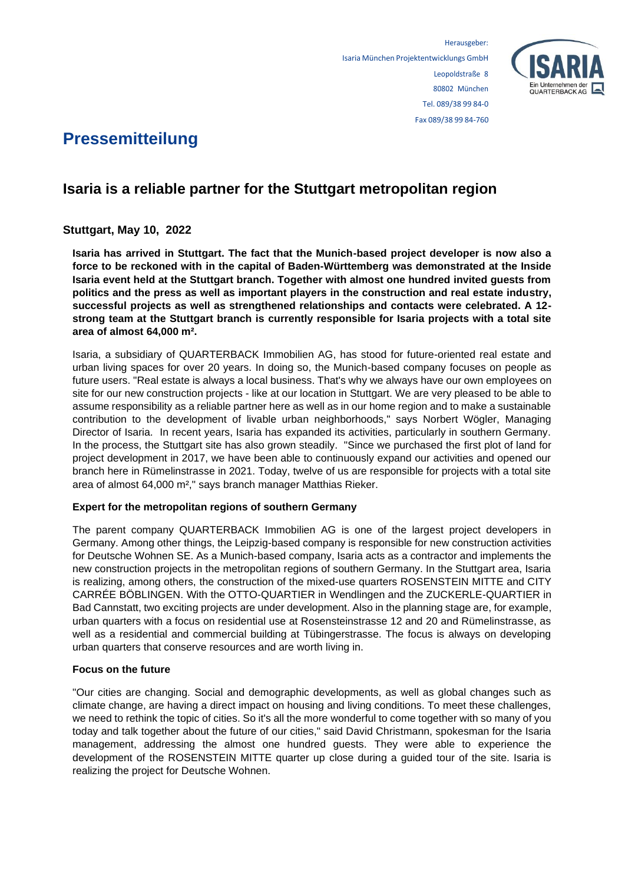

# **Pressemitteilung**

## **Isaria is a reliable partner for the Stuttgart metropolitan region**

### **Stuttgart, May 10, 2022**

**Isaria has arrived in Stuttgart. The fact that the Munich-based project developer is now also a force to be reckoned with in the capital of Baden-Württemberg was demonstrated at the Inside Isaria event held at the Stuttgart branch. Together with almost one hundred invited guests from politics and the press as well as important players in the construction and real estate industry, successful projects as well as strengthened relationships and contacts were celebrated. A 12 strong team at the Stuttgart branch is currently responsible for Isaria projects with a total site area of almost 64,000 m².**

Isaria, a subsidiary of QUARTERBACK Immobilien AG, has stood for future-oriented real estate and urban living spaces for over 20 years. In doing so, the Munich-based company focuses on people as future users. "Real estate is always a local business. That's why we always have our own employees on site for our new construction projects - like at our location in Stuttgart. We are very pleased to be able to assume responsibility as a reliable partner here as well as in our home region and to make a sustainable contribution to the development of livable urban neighborhoods," says Norbert Wögler, Managing Director of Isaria. In recent years, Isaria has expanded its activities, particularly in southern Germany. In the process, the Stuttgart site has also grown steadily. "Since we purchased the first plot of land for project development in 2017, we have been able to continuously expand our activities and opened our branch here in Rümelinstrasse in 2021. Today, twelve of us are responsible for projects with a total site area of almost 64,000 m²," says branch manager Matthias Rieker.

#### **Expert for the metropolitan regions of southern Germany**

The parent company QUARTERBACK Immobilien AG is one of the largest project developers in Germany. Among other things, the Leipzig-based company is responsible for new construction activities for Deutsche Wohnen SE. As a Munich-based company, Isaria acts as a contractor and implements the new construction projects in the metropolitan regions of southern Germany. In the Stuttgart area, Isaria is realizing, among others, the construction of the mixed-use quarters ROSENSTEIN MITTE and CITY CARRÉE BÖBLINGEN. With the OTTO-QUARTIER in Wendlingen and the ZUCKERLE-QUARTIER in Bad Cannstatt, two exciting projects are under development. Also in the planning stage are, for example, urban quarters with a focus on residential use at Rosensteinstrasse 12 and 20 and Rümelinstrasse, as well as a residential and commercial building at Tübingerstrasse. The focus is always on developing urban quarters that conserve resources and are worth living in.

#### **Focus on the future**

"Our cities are changing. Social and demographic developments, as well as global changes such as climate change, are having a direct impact on housing and living conditions. To meet these challenges, we need to rethink the topic of cities. So it's all the more wonderful to come together with so many of you today and talk together about the future of our cities," said David Christmann, spokesman for the Isaria management, addressing the almost one hundred guests. They were able to experience the development of the ROSENSTEIN MITTE quarter up close during a guided tour of the site. Isaria is realizing the project for Deutsche Wohnen.